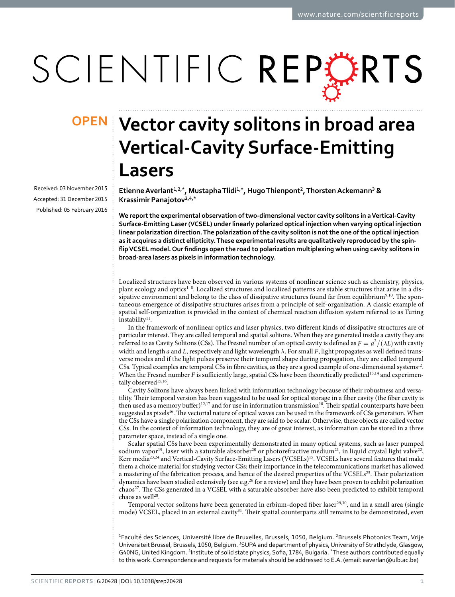# SCIENTIFIC REPERTS

Received: 03 November 2015 accepted: 31 December 2015 Published: 05 February 2016

## **Vector cavity solitons in broad area OPENVertical-Cavity Surface-Emitting Lasers**

**EtienneAverlant<sup>1</sup>,2,\*, MustaphaTlidi1,\*, HugoThienpont<sup>2</sup>, ThorstenAckemann<sup>3</sup> & Krassimir Panajotov<sup>2</sup>,4,\***

**We report the experimental observation of two-dimensional vector cavity solitons in a Vertical-Cavity Surface-Emitting Laser (VCSEL) under linearly polarized optical injection when varying optical injection linear polarization direction. The polarization of the cavity soliton is not the one of the optical injection as it acquires a distinct ellipticity. These experimental results are qualitatively reproduced by the spinflip VCSEL model. Our findings open the road to polarization multiplexing when using cavity solitons in broad-area lasers as pixels in information technology.**

Localized structures have been observed in various systems of nonlinear science such as chemistry, physics, plant ecology and optics<sup>1–8</sup>. Localized structures and localized patterns are stable structures that arise in a dis-sipative environment and belong to the class of dissipative structures found far from equilibrium<sup>9,[10](#page-6-1)</sup>. The spontaneous emergence of dissipative structures arises from a principle of self-organization. A classic example of spatial self-organization is provided in the context of chemical reaction diffusion system referred to as Turing  $instability<sup>11</sup>$ .

In the framework of nonlinear optics and laser physics, two different kinds of dissipative structures are of particular interest. They are called temporal and spatial solitons. When they are generated inside a cavity they are referred to as Cavity Solitons (CSs). The Fresnel number of an optical cavity is defined as  $F = a^2/(\lambda L)$  with cavity width and length *a* and *L*, respectively and light wavelength *λ*. For small *F*, light propagates as well defined transverse modes and if the light pulses preserve their temporal shape during propagation, they are called temporal CSs. Typical examples are temporal CSs in fibre cavities, as they are a good example of one-dimensional system[s12.](#page-6-3) When the Fresnel number *F* is sufficiently large, spatial CSs have been theoretically predicted<sup>[13](#page-6-4)[,14](#page-6-5)</sup> and experimen-tally observed<sup>[15](#page-6-6),[16](#page-6-7)</sup>.

Cavity Solitons have always been linked with information technology because of their robustness and versatility. Their temporal version has been suggested to be used for optical storage in a fiber cavity (the fiber cavity is then used as a memory buffer)<sup>[12](#page-6-3),[17](#page-6-8)</sup> and for use in information transmission<sup>18</sup>. Their spatial counterparts have been suggested as pixels<sup>16</sup>. The vectorial nature of optical waves can be used in the framework of CSs generation. When the CSs have a single polarization component, they are said to be scalar. Otherwise, these objects are called vector CSs. In the context of information technology, they are of great interest, as information can be stored in a three parameter space, instead of a single one.

Scalar spatial CSs have been experimentally demonstrated in many optical systems, such as laser pumped sodium vapor<sup>19</sup>, laser with a saturable absorber<sup>[20](#page-6-11)</sup> or photorefractive medium<sup>21</sup>, in liquid crystal light valve<sup>22</sup>, Kerr media<sup>23,24</sup> and Vertical-Cavity Surface-Emitting Lasers (VCSELs)<sup>[15](#page-6-6)</sup>. VCSELs have several features that make them a choice material for studying vector CSs: their importance in the telecommunications market has allowed a mastering of the fabrication process, and hence of the desired properties of the VCSELs<sup>25</sup>. Their polarization dynamics have been studied extensively (see e.g.<sup>[26](#page-6-17)</sup> for a review) and they have been proven to exhibit polarization chaos<sup>27</sup>. The CSs generated in a VCSEL with a saturable absorber have also been predicted to exhibit temporal chaos as well<sup>28</sup>.

Temporal vector solitons have been generated in erbium-doped fiber laser<sup>[29,](#page-6-20)30</sup>, and in a small area (single mode) VCSEL, placed in an external cavity<sup>31</sup>. Their spatial counterparts still remains to be demonstrated, even

<sup>1</sup>Faculté des Sciences, Université libre de Bruxelles, Brussels, 1050, Belgium. <sup>2</sup>Brussels Photonics Team, Vrije Universiteit Brussel, Brussels, 1050, Belgium. <sup>3</sup>SUPA and department of physics, University of Strathclyde, Glasgow, G40NG, United Kingdom. <sup>4</sup>Institute of solid state physics, Sofia, 1784, Bulgaria. <sup>\*</sup>These authors contributed equally to this work. Correspondence and requests for materials should be addressed to E.A. (email: [eaverlan@ulb.ac.be](mailto:eaverlan@ulb.ac.be))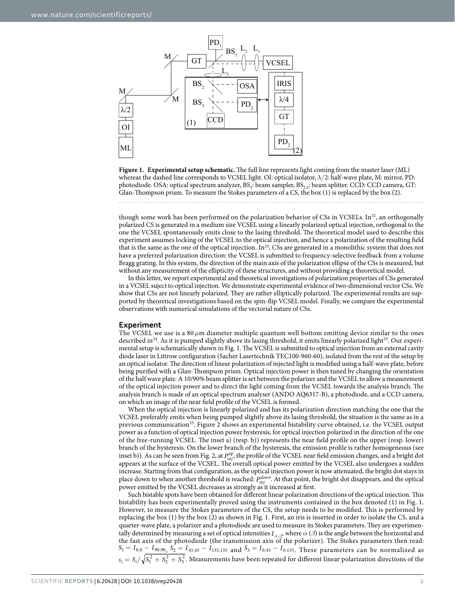

<span id="page-1-0"></span>**Figure 1. Experimental setup schematic.** The full line represents light coming from the master laser (ML) whereas the dashed line corresponds to VCSEL light. OI: optical isolator, *λ*/2: half-wave plate, M: mirror, PD: photodiode. OSA: optical spectrum analyzer,  $BS_1$ : beam sampler,  $BS_{2,3}$ : beam splitter. CCD: CCD camera, GT: Glan-Thompson prism. To measure the Stokes parameters of a CS, the box (1) is replaced by the box (2).

though some work has been performed on the polarization behavior of CSs in VCSELs. In<sup>32</sup>, an orthogonally polarized CS is generated in a medium size VCSEL using a linearly polarized optical injection, orthogonal to the one the VCSEL spontaneously emits close to the lasing threshold. The theoretical model used to describe this experiment assumes locking of the VCSEL to the optical injection, and hence a polarization of the resulting field that is the same as the one of the optical injection. In<sup>33</sup>, CSs are generated in a monolithic system that does not have a preferred polarization direction: the VCSEL is submitted to frequency-selective feedback from a volume Bragg grating. In this system, the direction of the main axis of the polarization ellipse of the CSs is measured, but without any measurement of the ellipticity of these structures, and without providing a theoretical model.

In this letter, we report experimental and theoretical investigations of polarization properties of CSs generated in a VCSEL suject to optical injection. We demonstrate experimental evidence of two-dimensional vector CSs. We show that CSs are not linearly polarized. They are rather elliptically polarized. The experimental results are supported by theoretical investigations based on the spin-flip VCSEL model. Finally, we compare the experimental observations with numerical simulations of the vectorial nature of CSs.

#### **Experiment**

The VCSEL we use is a 80  $\mu$ m diameter multiple quantum well bottom emitting device similar to the ones described in<sup>34</sup>. As it is pumped slightly above its lasing threshold, it emits linearly polarized light<sup>35</sup>. Our experimental setup is schematically shown in [Fig. 1.](#page-1-0) The VCSEL is submitted to optical injection from an external cavity diode laser in Littrow configuration (Sacher Lasertechnik TEC100-960-60), isolated from the rest of the setup by an optical isolator. The direction of linear polarization of injected light is modified using a half-wave plate, before being purified with a Glan-Thompson prism. Optical injection power is then tuned by changing the orientation of the half wave plate. A 10/90% beam splitter is set between the polarizer and the VCSEL to allow a measurement of the optical injection power and to direct the light coming from the VCSEL towards the analysis branch. The analysis branch is made of an optical spectrum analyser (ANDO AQ6317-B), a photodiode, and a CCD camera, on which an image of the near field profile of the VCSEL is formed.

When the optical injection is linearly polarized and has its polarization direction matching the one that the VCSEL preferably emits when being pumped slightly above its lasing threshold, the situation is the same as in a previous communication<sup>35</sup>. [Figure 2](#page-2-0) shows an experimental bistability curve obtained, i.e. the VCSEL output power as a function of optical injection power hysteresis, for optical injection polarized in the direction of the one of the free-running VCSEL. The inset a) (resp. b)) represents the near field profile on the upper (resp. lower) branch of the hysteresis. On the lower branch of the hysteresis, the emission profile is rather homogeneous (see inset b)). As can be seen from [Fig. 2,](#page-2-0) at  $P_{inj}^{\mu p}$ , the profile of the VCSEL near field emission changes, and a bright dot appears at the surface of the VCSEL. The overall optical power emitted by the VCSEL also undergoes a sudden increase. Starting from that configuration, as the optical injection power is now attenuated, the bright dot stays in place down to when another threshold is reached:  $P_{inj}^{down}$ . At that point, the bright dot disappears, and the optical power emitted by the VCSEL decreases as strongly as it increased at first.

Such bistable spots have been obtained for different linear polarization directions of the optical injection. This bistability has been experimentally proved using the instruments contained in the box denoted (1) in [Fig. 1.](#page-1-0) However, to measure the Stokes parameters of the CS, the setup needs to be modified. This is performed by replacing the box (1) by the box (2) as shown in [Fig. 1](#page-1-0). First, an iris is inserted in order to isolate the CS, and a quarter-wave plate, a polarizer and a photodiode are used to measure its Stokes parameters. They are experimentally determined by measuring a set of optical intensities  $I_{\alpha,\beta}$ , where  $\alpha(\beta)$  is the angle between the horizontal and the fast axis of the photodiode (the transmission axis of the polarizer). The Stokes parameters t  $S_1 = I_{0,0} - I_{90,90}$ ,  $S_2 = I_{45,45} - I_{135,135}$  and  $S_3 = I_{0,45} - I_{0,135}$ . These parameters can be normalized as  $s_i = S_i / \sqrt{S_1^2 + S_2^2 + S_3^2}$ . Measurements have been repeated for different linear polarization directions of the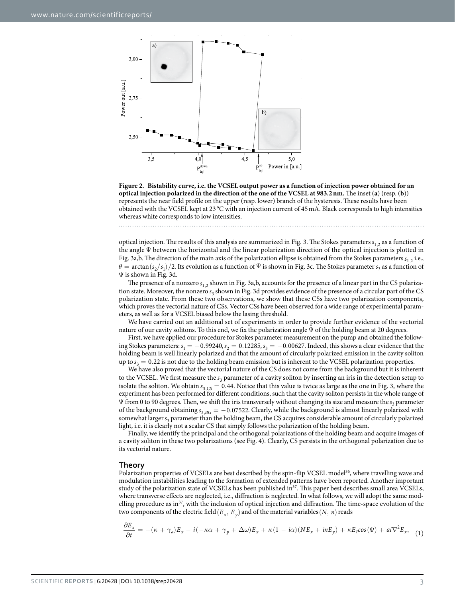

<span id="page-2-0"></span>**Figure 2. Bistability curve, i.e. the VCSEL output power as a function of injection power obtained for an optical injection polarized in the direction of the one of the VCSEL at 983.2nm.** The inset (**a**) (resp. (**b**)) represents the near field profile on the upper (resp. lower) branch of the hysteresis. These results have been obtained with the VCSEL kept at 23 °C with an injection current of 45mA. Black corresponds to high intensities whereas white corresponds to low intensities.

optical injection. The results of this analysis are summarized in [Fig. 3](#page-3-0). The Stokes parameters  $s_1$ , as a function of the angle Ψ between the horizontal and the linear polarization direction of the optical injection is plotted in [Fig. 3a,b.](#page-3-0) The direction of the main axis of the polarization ellipse is obtained from the Stokes parameters  $s_1$ , i.e.,  $\theta$  = arctan  $(s_2/s_1)/2$ . Its evolution as a function of Ψ is shown in [Fig. 3c.](#page-3-0) The Stokes parameter  $s_3$  as a function of Ψ is shown in [Fig. 3d](#page-3-0).

The presence of a nonzero  $s_{1,2}$  shown in [Fig. 3a,b,](#page-3-0) accounts for the presence of a linear part in the CS polarization state. Moreover, the nonzero *s*<sub>3</sub> shown in [Fig. 3d](#page-3-0) provides evidence of the presence of a circular part of the CS polarization state. From these two observations, we show that these CSs have two polarization components, which proves the vectorial nature of CSs. Vector CSs have been observed for a wide range of experimental parameters, as well as for a VCSEL biased below the lasing threshold.

We have carried out an additional set of experiments in order to provide further evidence of the vectorial nature of our cavity solitons. To this end, we fix the polarization angle Ψ of the holding beam at 20 degrees.

First, we have applied our procedure for Stokes parameter measurement on the pump and obtained the following Stokes parameters:  $s_1 = -0.99240$ ,  $s_2 = 0.12285$ ,  $s_3 = -0.00627$ . Indeed, this shows a clear evidence that the holding beam is well linearly polarized and that the amount of circularly polarized emission in the cavity soliton up to  $s_3 = 0.22$  is not due to the holding beam emission but is inherent to the VCSEL polarization properties.

We have also proved that the vectorial nature of the CS does not come from the background but it is inherent to the VCSEL. We first measure the  $s_3$  parameter of a cavity soliton by inserting an iris in the detection setup to isolate the soliton. We obtain  $s_{3,CS} = 0.44$ . Notice that this value is twice as large as the one in [Fig. 3,](#page-3-0) where the experiment has been performed for different conditions, such that the cavity soliton persists in the whole range of Ψ from 0 to 90 degrees. Then, we shift the iris transversely without changing its size and measure the *s*<sub>3</sub> parameter of the background obtaining  $s_{3, BG} = -0.07522$ . Clearly, while the background is almost linearly polarized with somewhat larger  $s_3$  parameter than the holding beam, the CS acquires considerable amount of circularly polarized light, i.e. it is clearly not a scalar CS that simply follows the polarization of the holding beam.

Finally, we identify the principal and the orthogonal polarizations of the holding beam and acquire images of a cavity soliton in these two polarizations (see [Fig. 4\)](#page-3-1). Clearly, CS persists in the orthogonal polarization due to its vectorial nature.

#### **Theory**

Polarization properties of VCSELs are best described by the spin-flip VCSEL model<sup>36</sup>, where travelling wave and modulation instabilities leading to the formation of extended patterns have been reported. Another important study of the polarization state of VCSELs has been published in<sup>37</sup>. This paper best describes small area VCSELs, where transverse effects are neglected, i.e., diffraction is neglected. In what follows, we will adopt the same modelling procedure as in<sup>37</sup>, with the inclusion of optical injection and diffraction. The time-space evolution of the two components of the electric field ( $E_x$ ,  $E_y$ ) and of the material variables (*N*, *n*) reads

$$
\frac{\partial E_x}{\partial t} = -(\kappa + \gamma_a) E_x - i(-\kappa\alpha + \gamma_p + \Delta\omega) E_x + \kappa(1 - i\alpha)(N E_x + i n E_y) + \kappa E_I \cos(\Psi) + ai \nabla^2 E_x, \quad (1)
$$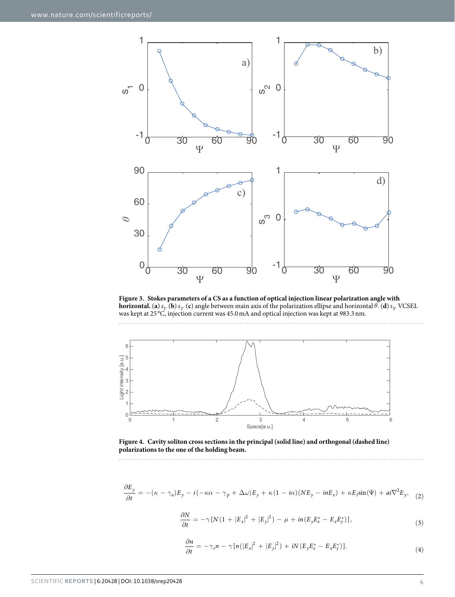

<span id="page-3-0"></span>**Figure 3. Stokes parameters of a CS as a function of optical injection linear polarization angle with horizontal.** (**a**)  $s_1$ . (**b**)  $s_2$ . (**c**) angle between main axis of the polarization ellipse and horizontal  $\theta$ . (**d**)  $s_3$ . VCSEL was kept at 25 °C, injection current was 45.0mA and optical injection was kept at 983.3nm.



<span id="page-3-1"></span>**Figure 4. Cavity soliton cross sections in the principal (solid line) and orthogonal (dashed line) polarizations to the one of the holding beam.** 

$$
\frac{\partial E_y}{\partial t} = -(\kappa - \gamma_a) E_y - i(-\kappa \alpha - \gamma_p + \Delta \omega) E_y + \kappa (1 - i\alpha) (N E_y - i n E_x) + \kappa E_I \sin(\Psi) + a i \nabla^2 E_y, \quad (2)
$$

$$
\frac{\partial N}{\partial t} = -\gamma \left[ N \left( 1 + |E_x|^2 + |E_y|^2 \right) - \mu + i n (E_y E_x^* - E_x E_y^*) \right],\tag{3}
$$

$$
\frac{\partial n}{\partial t} = -\gamma_s n - \gamma \left[ n \left( |E_x|^2 + |E_y|^2 \right) + iN \left( E_y E_x^* - E_x E_y^* \right) \right]. \tag{4}
$$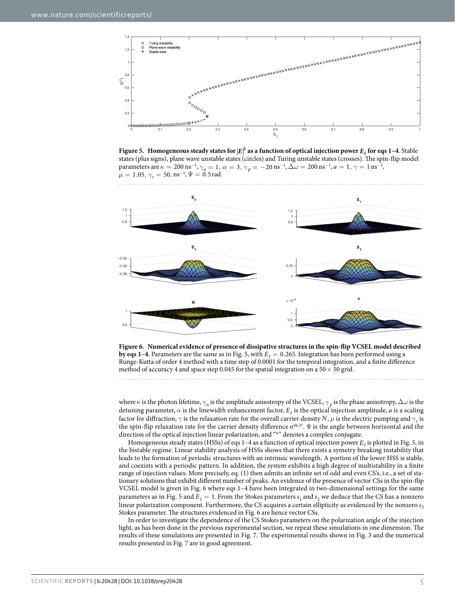

<span id="page-4-0"></span>**Figure 5. Homogeneous steady states for**  $|E|^2$  **as a function of optical injection power**  $E_I$  **for eqs 1–4. Stable** states (plus signs), plane wave unstable states (circles) and Turing unstable states (crosses). The spin-flip model parameters are  $\kappa = 200 \text{ ns}^{-1}$ ,  $\gamma_a = 1$ ,  $\alpha = 3$ ,  $\gamma_p = -20 \text{ ns}^{-1}$ ,  $\Delta \omega = 200 \text{ ns}^{-1}$ ,  $a = 1$ ,  $\gamma = 1 \text{ ns}^{-1}$ ,  $\mu = 1.05, \gamma_s = 50. \,\text{ns}^{-1}, \Psi = 0.5 \,\text{rad}.$ 



<span id="page-4-1"></span>**Figure 6. Numerical evidence of presence of dissipative structures in the spin-flip VCSEL model described by eqs 1–4**. Parameters are the same as in [Fig. 5](#page-4-0), with  $E_I = 0.265$ . Integration has been performed using a Runge-Kutta of order 4 method with a time step of 0.0001 for the temporal integration, and a finite difference method of accuracy 4 and space step 0.045 for the spatial integration on a  $50 \times 50$  grid.

where *κ* is the photon lifetime, *γa* is the amplitude anisotropy of the VCSEL, *γ <sup>p</sup>* is the phase anisotropy, ∆*ω* is the detuning parameter, *α* is the linewidth enhancement factor, *EI* is the optical injection amplitude, *a* is a scaling factor for diffraction,  $\gamma$  is the relaxation rate for the overall carrier density *N*,  $\mu$  is the electric pumping and  $\gamma_s$  is the spin-flip relaxation rate for the carrier density difference *n*[36,](#page-6-27)[37.](#page-6-28) Ψ is the angle between horizontal and the direction of the optical injection linear polarization, and "\*" denotes a complex conjugate.

Homogeneous steady states (HSSs) of eqs  $1-4$  as a function of optical injection power  $E_I$  is plotted in [Fig. 5,](#page-4-0) in the bistable regime. Linear stability analysis of HSSs shows that there exists a symetry breaking instability that leads to the formation of periodic structures with an intrinsic wavelength. A portion of the lower HSS is stable, and coexists with a periodic pattern. In addition, the system exhibits a high degree of multistability in a finite range of injection values. More precisely, eq. (1) then admits an infinite set of odd and even CS's, i.e., a set of stationary solutions that exhibit different number of peaks. An evidence of the presence of vector CSs in the spin-flip VCSEL model is given in [Fig. 6](#page-4-1) where eqs 1–4 have been integrated in two-dimensional settings for the same parameters as in [Fig. 5](#page-4-0) and  $E_I = 1$ . From the Stokes parameters  $s_1$  and  $s_2$  we deduce that the CS has a nonzero linear polarization component. Furthermore, the CS acquires a certain ellipticity as evidenced by the nonzero  $s_3$ Stokes parameter. The structures evidenced in [Fig. 6](#page-4-1) are hence vector CSs.

In order to investigate the dependence of the CS Stokes parameters on the polarization angle of the injection light, as has been done in the previous experimental section, we repeat these simulations in one dimension. The results of these simulations are presented in [Fig. 7.](#page-5-1) The experimental results shown in [Fig. 3](#page-3-0) and the numerical results presented in [Fig. 7](#page-5-1) are in good agreement.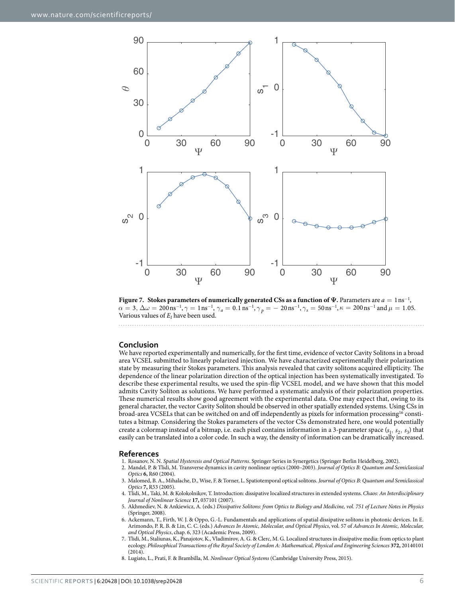

<span id="page-5-1"></span>**Figure 7.** Stokes parameters of numerically generated CSs as a function of  $\Psi$ . Parameters are  $a = \ln s^{-1}$ ,  $\alpha = 3, \Delta\omega = 200 \text{ ns}^{-1}, \gamma = 1 \text{ ns}^{-1}, \gamma_a = 0.1 \text{ ns}^{-1}, \gamma_p = -20 \text{ ns}^{-1}, \gamma_s = 50 \text{ ns}^{-1}, \kappa = 200 \text{ ns}^{-1}$  and  $\mu = 1.05$ . Various values of *EI* have been used.

#### **Conclusion**

We have reported experimentally and numerically, for the first time, evidence of vector Cavity Solitons in a broad area VCSEL submitted to linearly polarized injection. We have characterized experimentally their polarization state by measuring their Stokes parameters. This analysis revealed that cavity solitons acquired ellipticity. The dependence of the linear polarization direction of the optical injection has been systematically investigated. To describe these experimental results, we used the spin-flip VCSEL model, and we have shown that this model admits Cavity Soliton as solutions. We have performed a systematic analysis of their polarization properties. These numerical results show good agreement with the experimental data. One may expect that, owing to its general character, the vector Cavity Soliton should be observed in other spatially extended systems. Using CSs in broad-area VCSELs that can be switched on and off independently as pixels for information processing<sup>16</sup> constitutes a bitmap. Considering the Stokes parameters of the vector CSs demonstrated here, one would potentially create a colormap instead of a bitmap, i.e. each pixel contains information in a 3-parameter space  $(s_1, s_2, s_3)$  that easily can be translated into a color code. In such a way, the density of information can be dramatically increased.

#### **References**

- <span id="page-5-0"></span>1. Rosanov, N. N. *Spatial Hysteresis and Optical Patterns*. Springer Series in Synergetics (Springer Berlin Heidelberg, 2002).
- 2. Mandel, P. & Tlidi, M. Transverse dynamics in cavity nonlinear optics (2000–2003). *Journal of Optics B: Quantum and Semiclassical Optics* **6,** R60 (2004).
- 3. Malomed, B. A., Mihalache, D., Wise, F. & Torner, L. Spatiotemporal optical solitons. *Journal of Optics B: Quantum and Semiclassical Optics* **7,** R53 (2005).
- 4. Tlidi, M., Taki, M. & Kolokolnikov, T. Introduction: dissipative localized structures in extended systems. *Chaos: An Interdisciplinary Journal of Nonlinear Science* **17,** 037101 (2007).
- 5. Akhmediev, N. & Ankiewicz, A. (eds.) *Dissipative Solitons: from Optics to Biology and Medicine, vol. 751 of Lecture Notes in Physics* (Springer, 2008).
- 6. Ackemann, T., Firth, W. J. & Oppo, G.-L. Fundamentals and applications of spatial dissipative solitons in photonic devices. In E. Arimondo, P. R. B. & Lin, C. C. (eds.) *Advances In Atomic, Molecular, and Optical Physics*, vol. 57 of *Advances In Atomic, Molecular, and Optical Physics*, chap. 6, 323 (Academic Press, 2009).
- 7. Tlidi, M., Staliunas, K., Panajotov, K., Vladimirov, A. G. & Clerc, M. G. Localized structures in dissipative media: from optics to plant ecology. *Philosophical Transactions of the Royal Society of London A: Mathematical, Physical and Engineering Sciences* **372,** 20140101 (2014).
- 8. Lugiato, L., Prati, F. & Brambilla, M. *Nonlinear Optical Systems* (Cambridge University Press, 2015).